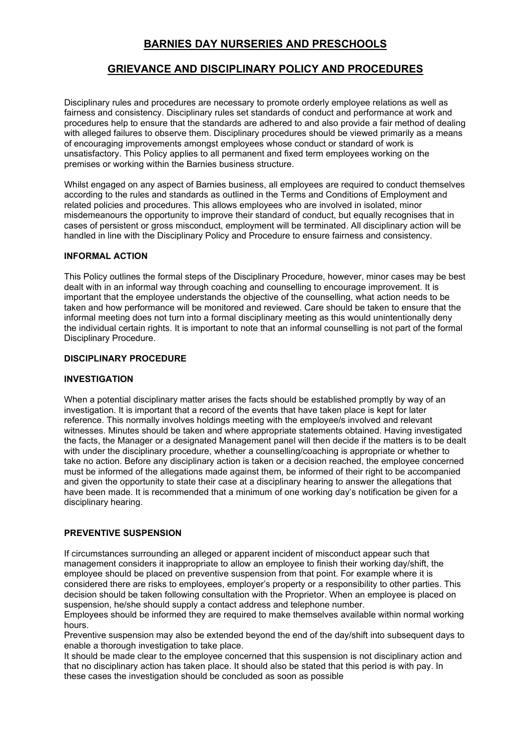# **BARNIES DAY NURSERIES AND PRESCHOOLS**

# **GRIEVANCE AND DISCIPLINARY POLICY AND PROCEDURES**

Disciplinary rules and procedures are necessary to promote orderly employee relations as well as fairness and consistency. Disciplinary rules set standards of conduct and performance at work and procedures help to ensure that the standards are adhered to and also provide a fair method of dealing with alleged failures to observe them. Disciplinary procedures should be viewed primarily as a means of encouraging improvements amongst employees whose conduct or standard of work is unsatisfactory. This Policy applies to all permanent and fixed term employees working on the premises or working within the Barnies business structure.

Whilst engaged on any aspect of Barnies business, all employees are required to conduct themselves according to the rules and standards as outlined in the Terms and Conditions of Employment and related policies and procedures. This allows employees who are involved in isolated, minor misdemeanours the opportunity to improve their standard of conduct, but equally recognises that in cases of persistent or gross misconduct, employment will be terminated. All disciplinary action will be handled in line with the Disciplinary Policy and Procedure to ensure fairness and consistency.

### **INFORMAL ACTION**

This Policy outlines the formal steps of the Disciplinary Procedure, however, minor cases may be best dealt with in an informal way through coaching and counselling to encourage improvement. It is important that the employee understands the objective of the counselling, what action needs to be taken and how performance will be monitored and reviewed. Care should be taken to ensure that the informal meeting does not turn into a formal disciplinary meeting as this would unintentionally deny the individual certain rights. It is important to note that an informal counselling is not part of the formal Disciplinary Procedure.

### **DISCIPLINARY PROCEDURE**

#### **INVESTIGATION**

When a potential disciplinary matter arises the facts should be established promptly by way of an investigation. It is important that a record of the events that have taken place is kept for later reference. This normally involves holdings meeting with the employee/s involved and relevant witnesses. Minutes should be taken and where appropriate statements obtained. Having investigated the facts, the Manager or a designated Management panel will then decide if the matters is to be dealt with under the disciplinary procedure, whether a counselling/coaching is appropriate or whether to take no action. Before any disciplinary action is taken or a decision reached, the employee concerned must be informed of the allegations made against them, be informed of their right to be accompanied and given the opportunity to state their case at a disciplinary hearing to answer the allegations that have been made. It is recommended that a minimum of one working day's notification be given for a disciplinary hearing.

## **PREVENTIVE SUSPENSION**

If circumstances surrounding an alleged or apparent incident of misconduct appear such that management considers it inappropriate to allow an employee to finish their working day/shift, the employee should be placed on preventive suspension from that point. For example where it is considered there are risks to employees, employer's property or a responsibility to other parties. This decision should be taken following consultation with the Proprietor. When an employee is placed on suspension, he/she should supply a contact address and telephone number.

Employees should be informed they are required to make themselves available within normal working hours.

Preventive suspension may also be extended beyond the end of the day/shift into subsequent days to enable a thorough investigation to take place.

It should be made clear to the employee concerned that this suspension is not disciplinary action and that no disciplinary action has taken place. It should also be stated that this period is with pay. In these cases the investigation should be concluded as soon as possible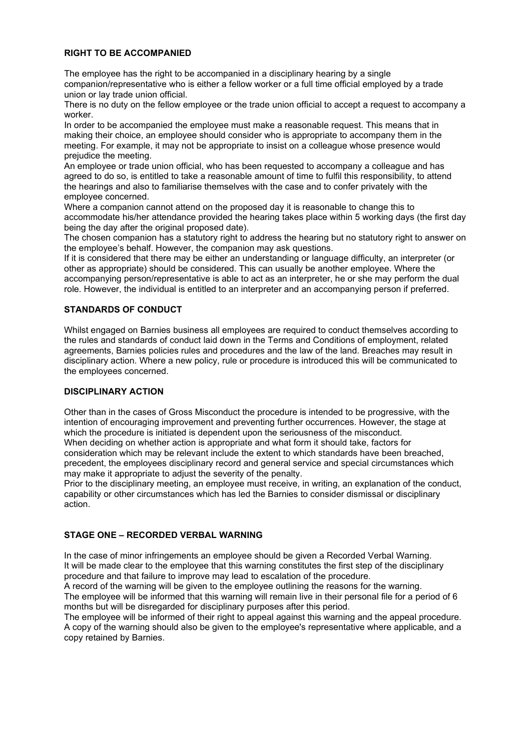## **RIGHT TO BE ACCOMPANIED**

The employee has the right to be accompanied in a disciplinary hearing by a single companion/representative who is either a fellow worker or a full time official employed by a trade union or lay trade union official.

There is no duty on the fellow employee or the trade union official to accept a request to accompany a worker.

In order to be accompanied the employee must make a reasonable request. This means that in making their choice, an employee should consider who is appropriate to accompany them in the meeting. For example, it may not be appropriate to insist on a colleague whose presence would prejudice the meeting.

An employee or trade union official, who has been requested to accompany a colleague and has agreed to do so, is entitled to take a reasonable amount of time to fulfil this responsibility, to attend the hearings and also to familiarise themselves with the case and to confer privately with the employee concerned.

Where a companion cannot attend on the proposed day it is reasonable to change this to accommodate his/her attendance provided the hearing takes place within 5 working days (the first day being the day after the original proposed date).

The chosen companion has a statutory right to address the hearing but no statutory right to answer on the employee's behalf. However, the companion may ask questions.

If it is considered that there may be either an understanding or language difficulty, an interpreter (or other as appropriate) should be considered. This can usually be another employee. Where the accompanying person/representative is able to act as an interpreter, he or she may perform the dual role. However, the individual is entitled to an interpreter and an accompanying person if preferred.

# **STANDARDS OF CONDUCT**

Whilst engaged on Barnies business all employees are required to conduct themselves according to the rules and standards of conduct laid down in the Terms and Conditions of employment, related agreements, Barnies policies rules and procedures and the law of the land. Breaches may result in disciplinary action. Where a new policy, rule or procedure is introduced this will be communicated to the employees concerned.

## **DISCIPLINARY ACTION**

Other than in the cases of Gross Misconduct the procedure is intended to be progressive, with the intention of encouraging improvement and preventing further occurrences. However, the stage at which the procedure is initiated is dependent upon the seriousness of the misconduct. When deciding on whether action is appropriate and what form it should take, factors for consideration which may be relevant include the extent to which standards have been breached, precedent, the employees disciplinary record and general service and special circumstances which may make it appropriate to adjust the severity of the penalty.

Prior to the disciplinary meeting, an employee must receive, in writing, an explanation of the conduct, capability or other circumstances which has led the Barnies to consider dismissal or disciplinary action.

## **STAGE ONE – RECORDED VERBAL WARNING**

In the case of minor infringements an employee should be given a Recorded Verbal Warning. It will be made clear to the employee that this warning constitutes the first step of the disciplinary procedure and that failure to improve may lead to escalation of the procedure.

A record of the warning will be given to the employee outlining the reasons for the warning. The employee will be informed that this warning will remain live in their personal file for a period of 6 months but will be disregarded for disciplinary purposes after this period.

The employee will be informed of their right to appeal against this warning and the appeal procedure. A copy of the warning should also be given to the employee's representative where applicable, and a copy retained by Barnies.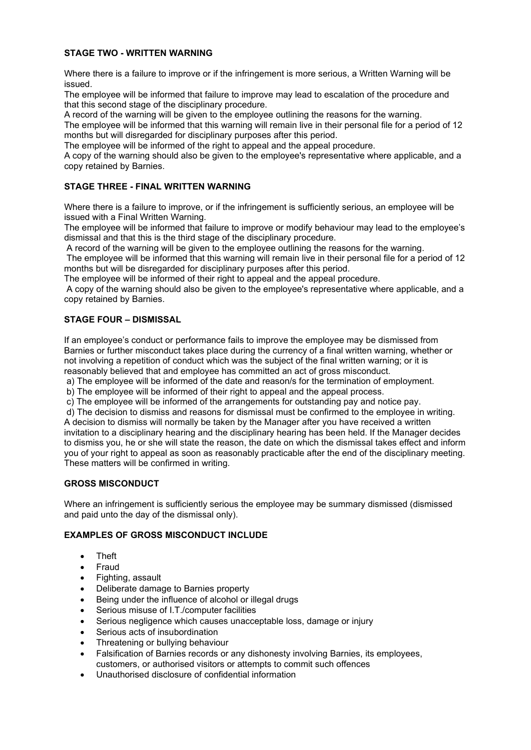# **STAGE TWO - WRITTEN WARNING**

Where there is a failure to improve or if the infringement is more serious, a Written Warning will be issued.

The employee will be informed that failure to improve may lead to escalation of the procedure and that this second stage of the disciplinary procedure.

A record of the warning will be given to the employee outlining the reasons for the warning.

The employee will be informed that this warning will remain live in their personal file for a period of 12 months but will disregarded for disciplinary purposes after this period.

The employee will be informed of the right to appeal and the appeal procedure.

A copy of the warning should also be given to the employee's representative where applicable, and a copy retained by Barnies.

# **STAGE THREE - FINAL WRITTEN WARNING**

Where there is a failure to improve, or if the infringement is sufficiently serious, an employee will be issued with a Final Written Warning.

The employee will be informed that failure to improve or modify behaviour may lead to the employee's dismissal and that this is the third stage of the disciplinary procedure.

A record of the warning will be given to the employee outlining the reasons for the warning.

The employee will be informed that this warning will remain live in their personal file for a period of 12 months but will be disregarded for disciplinary purposes after this period.

The employee will be informed of their right to appeal and the appeal procedure.

A copy of the warning should also be given to the employee's representative where applicable, and a copy retained by Barnies.

# **STAGE FOUR – DISMISSAL**

If an employee's conduct or performance fails to improve the employee may be dismissed from Barnies or further misconduct takes place during the currency of a final written warning, whether or not involving a repetition of conduct which was the subject of the final written warning; or it is reasonably believed that and employee has committed an act of gross misconduct.

a) The employee will be informed of the date and reason/s for the termination of employment.

b) The employee will be informed of their right to appeal and the appeal process.

c) The employee will be informed of the arrangements for outstanding pay and notice pay.

d) The decision to dismiss and reasons for dismissal must be confirmed to the employee in writing. A decision to dismiss will normally be taken by the Manager after you have received a written invitation to a disciplinary hearing and the disciplinary hearing has been held. If the Manager decides to dismiss you, he or she will state the reason, the date on which the dismissal takes effect and inform you of your right to appeal as soon as reasonably practicable after the end of the disciplinary meeting. These matters will be confirmed in writing.

# **GROSS MISCONDUCT**

Where an infringement is sufficiently serious the employee may be summary dismissed (dismissed and paid unto the day of the dismissal only).

## **EXAMPLES OF GROSS MISCONDUCT INCLUDE**

- Theft
- **Fraud**
- Fighting, assault
- Deliberate damage to Barnies property
- Being under the influence of alcohol or illegal drugs
- Serious misuse of I.T./computer facilities
- Serious negligence which causes unacceptable loss, damage or injury
- Serious acts of insubordination
- Threatening or bullying behaviour
- Falsification of Barnies records or any dishonesty involving Barnies, its employees, customers, or authorised visitors or attempts to commit such offences
- Unauthorised disclosure of confidential information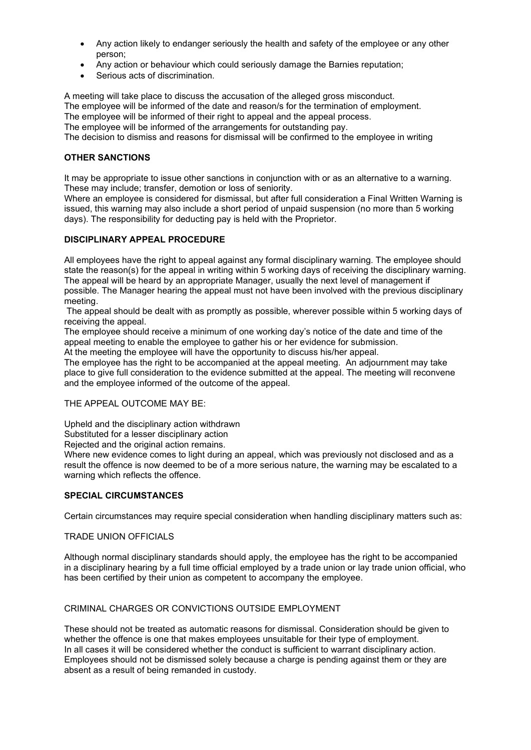- Any action likely to endanger seriously the health and safety of the employee or any other person;
- Any action or behaviour which could seriously damage the Barnies reputation;
- Serious acts of discrimination.

A meeting will take place to discuss the accusation of the alleged gross misconduct. The employee will be informed of the date and reason/s for the termination of employment. The employee will be informed of their right to appeal and the appeal process. The employee will be informed of the arrangements for outstanding pay. The decision to dismiss and reasons for dismissal will be confirmed to the employee in writing

## **OTHER SANCTIONS**

It may be appropriate to issue other sanctions in conjunction with or as an alternative to a warning. These may include; transfer, demotion or loss of seniority.

Where an employee is considered for dismissal, but after full consideration a Final Written Warning is issued, this warning may also include a short period of unpaid suspension (no more than 5 working days). The responsibility for deducting pay is held with the Proprietor.

## **DISCIPLINARY APPEAL PROCEDURE**

All employees have the right to appeal against any formal disciplinary warning. The employee should state the reason(s) for the appeal in writing within 5 working days of receiving the disciplinary warning. The appeal will be heard by an appropriate Manager, usually the next level of management if possible. The Manager hearing the appeal must not have been involved with the previous disciplinary meeting.

The appeal should be dealt with as promptly as possible, wherever possible within 5 working days of receiving the appeal.

The employee should receive a minimum of one working day's notice of the date and time of the appeal meeting to enable the employee to gather his or her evidence for submission.

At the meeting the employee will have the opportunity to discuss his/her appeal.

The employee has the right to be accompanied at the appeal meeting. An adjournment may take place to give full consideration to the evidence submitted at the appeal. The meeting will reconvene and the employee informed of the outcome of the appeal.

### THE APPEAL OUTCOME MAY BE:

Upheld and the disciplinary action withdrawn

Substituted for a lesser disciplinary action

Rejected and the original action remains.

Where new evidence comes to light during an appeal, which was previously not disclosed and as a result the offence is now deemed to be of a more serious nature, the warning may be escalated to a warning which reflects the offence.

## **SPECIAL CIRCUMSTANCES**

Certain circumstances may require special consideration when handling disciplinary matters such as:

## TRADE UNION OFFICIALS

Although normal disciplinary standards should apply, the employee has the right to be accompanied in a disciplinary hearing by a full time official employed by a trade union or lay trade union official, who has been certified by their union as competent to accompany the employee.

## CRIMINAL CHARGES OR CONVICTIONS OUTSIDE EMPLOYMENT

These should not be treated as automatic reasons for dismissal. Consideration should be given to whether the offence is one that makes employees unsuitable for their type of employment. In all cases it will be considered whether the conduct is sufficient to warrant disciplinary action. Employees should not be dismissed solely because a charge is pending against them or they are absent as a result of being remanded in custody.